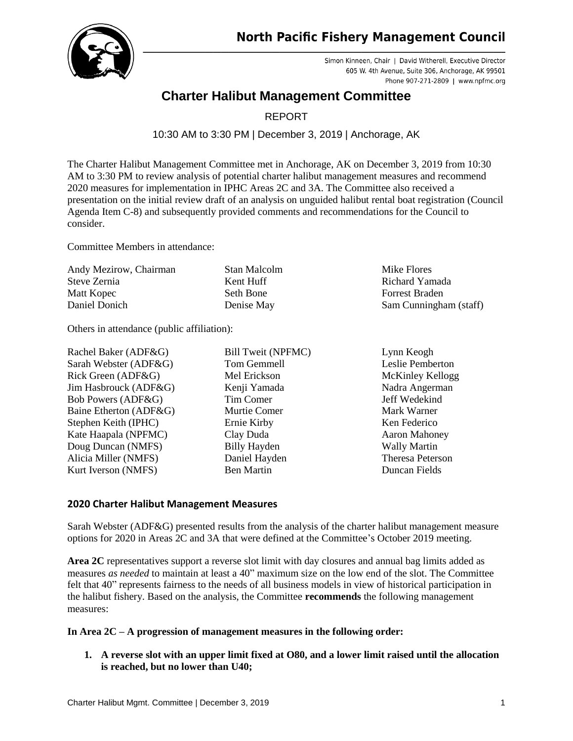



Simon Kinneen, Chair | David Witherell, Executive Director 605 W. 4th Avenue, Suite 306, Anchorage, AK 99501 Phone 907-271-2809 | www.npfmc.org

# **Charter Halibut Management Committee**

REPORT

10:30 AM to 3:30 PM | December 3, 2019 | Anchorage, AK

The Charter Halibut Management Committee met in Anchorage, AK on December 3, 2019 from 10:30 AM to 3:30 PM to review analysis of potential charter halibut management measures and recommend 2020 measures for implementation in IPHC Areas 2C and 3A. The Committee also received a presentation on the initial review draft of an analysis on unguided halibut rental boat registration (Council Agenda Item C-8) and subsequently provided comments and recommendations for the Council to consider.

Committee Members in attendance:

| Andy Mezirow, Chairman | Stan Malcolm | Mike Flores            |
|------------------------|--------------|------------------------|
| Steve Zernia           | Kent Huff    | Richard Yamada         |
| Matt Kopec             | Seth Bone    | <b>Forrest Braden</b>  |
| Daniel Donich          | Denise May   | Sam Cunningham (staff) |

Others in attendance (public affiliation):

| Rachel Baker (ADF&G)   | <b>Bill Tweit (NPFMC)</b> | Lynn Keogh           |
|------------------------|---------------------------|----------------------|
| Sarah Webster (ADF&G)  | Tom Gemmell               | Leslie Pemberton     |
| Rick Green (ADF&G)     | Mel Erickson              | McKinley Kellogg     |
| Jim Hasbrouck (ADF&G)  | Kenji Yamada              | Nadra Angerman       |
| Bob Powers (ADF&G)     | Tim Comer                 | Jeff Wedekind        |
| Baine Etherton (ADF&G) | Murtie Comer              | Mark Warner          |
| Stephen Keith (IPHC)   | Ernie Kirby               | Ken Federico         |
| Kate Haapala (NPFMC)   | Clay Duda                 | <b>Aaron Mahoney</b> |
| Doug Duncan (NMFS)     | <b>Billy Hayden</b>       | <b>Wally Martin</b>  |
| Alicia Miller (NMFS)   | Daniel Hayden             | Theresa Peterson     |
| Kurt Iverson (NMFS)    | <b>Ben Martin</b>         | Duncan Fields        |
|                        |                           |                      |

# **2020 Charter Halibut Management Measures**

Sarah Webster (ADF&G) presented results from the analysis of the charter halibut management measure options for 2020 in Areas 2C and 3A that were defined at the Committee's October 2019 meeting.

**Area 2C** representatives support a reverse slot limit with day closures and annual bag limits added as measures *as needed* to maintain at least a 40" maximum size on the low end of the slot. The Committee felt that 40" represents fairness to the needs of all business models in view of historical participation in the halibut fishery. Based on the analysis, the Committee **recommends** the following management measures:

# **In Area 2C – A progression of management measures in the following order:**

**1. A reverse slot with an upper limit fixed at O80, and a lower limit raised until the allocation is reached, but no lower than U40;**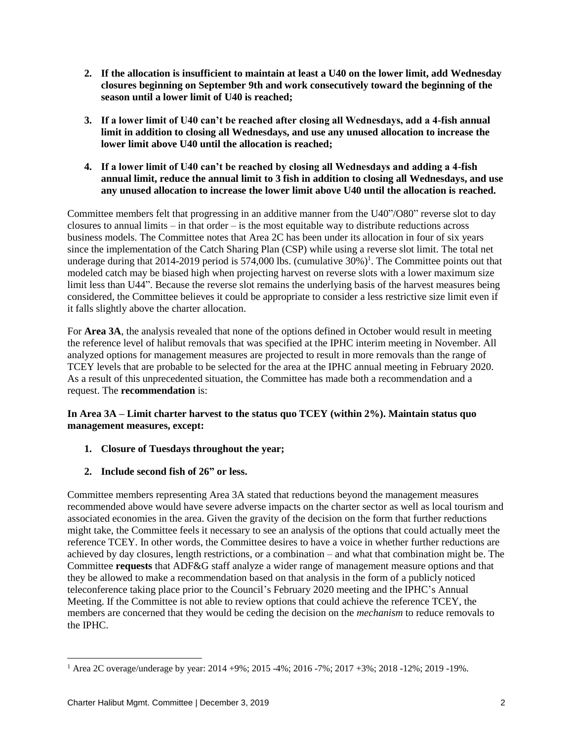- **2. If the allocation is insufficient to maintain at least a U40 on the lower limit, add Wednesday closures beginning on September 9th and work consecutively toward the beginning of the season until a lower limit of U40 is reached;**
- **3. If a lower limit of U40 can't be reached after closing all Wednesdays, add a 4-fish annual limit in addition to closing all Wednesdays, and use any unused allocation to increase the lower limit above U40 until the allocation is reached;**
- **4. If a lower limit of U40 can't be reached by closing all Wednesdays and adding a 4-fish annual limit, reduce the annual limit to 3 fish in addition to closing all Wednesdays, and use any unused allocation to increase the lower limit above U40 until the allocation is reached.**

Committee members felt that progressing in an additive manner from the U40"/O80" reverse slot to day closures to annual limits – in that order – is the most equitable way to distribute reductions across business models. The Committee notes that Area 2C has been under its allocation in four of six years since the implementation of the Catch Sharing Plan (CSP) while using a reverse slot limit. The total net underage during that 2014-2019 period is 574,000 lbs. (cumulative  $30\%$ )<sup>1</sup>. The Committee points out that modeled catch may be biased high when projecting harvest on reverse slots with a lower maximum size limit less than U44". Because the reverse slot remains the underlying basis of the harvest measures being considered, the Committee believes it could be appropriate to consider a less restrictive size limit even if it falls slightly above the charter allocation.

For **Area 3A**, the analysis revealed that none of the options defined in October would result in meeting the reference level of halibut removals that was specified at the IPHC interim meeting in November. All analyzed options for management measures are projected to result in more removals than the range of TCEY levels that are probable to be selected for the area at the IPHC annual meeting in February 2020. As a result of this unprecedented situation, the Committee has made both a recommendation and a request. The **recommendation** is:

# **In Area 3A – Limit charter harvest to the status quo TCEY (within 2%). Maintain status quo management measures, except:**

- **1. Closure of Tuesdays throughout the year;**
- **2. Include second fish of 26" or less.**

Committee members representing Area 3A stated that reductions beyond the management measures recommended above would have severe adverse impacts on the charter sector as well as local tourism and associated economies in the area. Given the gravity of the decision on the form that further reductions might take, the Committee feels it necessary to see an analysis of the options that could actually meet the reference TCEY. In other words, the Committee desires to have a voice in whether further reductions are achieved by day closures, length restrictions, or a combination – and what that combination might be. The Committee **requests** that ADF&G staff analyze a wider range of management measure options and that they be allowed to make a recommendation based on that analysis in the form of a publicly noticed teleconference taking place prior to the Council's February 2020 meeting and the IPHC's Annual Meeting. If the Committee is not able to review options that could achieve the reference TCEY, the members are concerned that they would be ceding the decision on the *mechanism* to reduce removals to the IPHC.

l <sup>1</sup> Area 2C overage/underage by year: 2014 +9%; 2015 -4%; 2016 -7%; 2017 +3%; 2018 -12%; 2019 -19%.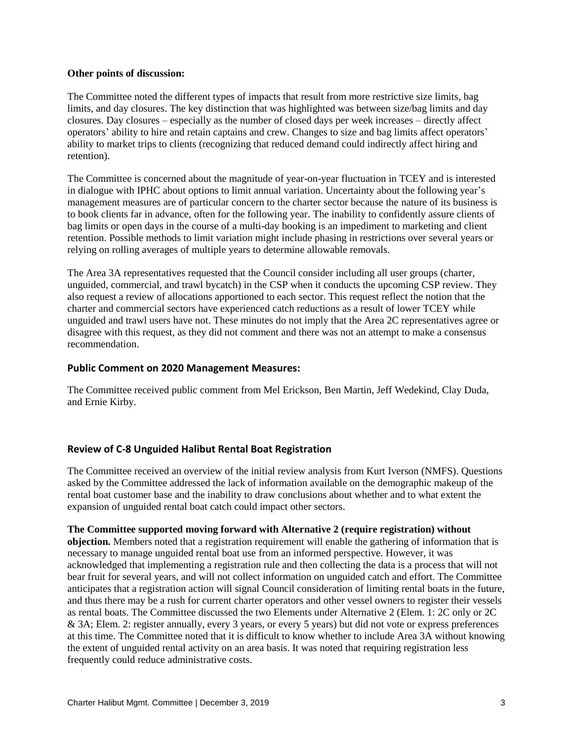#### **Other points of discussion:**

The Committee noted the different types of impacts that result from more restrictive size limits, bag limits, and day closures. The key distinction that was highlighted was between size/bag limits and day closures. Day closures – especially as the number of closed days per week increases – directly affect operators' ability to hire and retain captains and crew. Changes to size and bag limits affect operators' ability to market trips to clients (recognizing that reduced demand could indirectly affect hiring and retention).

The Committee is concerned about the magnitude of year-on-year fluctuation in TCEY and is interested in dialogue with IPHC about options to limit annual variation. Uncertainty about the following year's management measures are of particular concern to the charter sector because the nature of its business is to book clients far in advance, often for the following year. The inability to confidently assure clients of bag limits or open days in the course of a multi-day booking is an impediment to marketing and client retention. Possible methods to limit variation might include phasing in restrictions over several years or relying on rolling averages of multiple years to determine allowable removals.

The Area 3A representatives requested that the Council consider including all user groups (charter, unguided, commercial, and trawl bycatch) in the CSP when it conducts the upcoming CSP review. They also request a review of allocations apportioned to each sector. This request reflect the notion that the charter and commercial sectors have experienced catch reductions as a result of lower TCEY while unguided and trawl users have not. These minutes do not imply that the Area 2C representatives agree or disagree with this request, as they did not comment and there was not an attempt to make a consensus recommendation.

## **Public Comment on 2020 Management Measures:**

The Committee received public comment from Mel Erickson, Ben Martin, Jeff Wedekind, Clay Duda, and Ernie Kirby.

## **Review of C-8 Unguided Halibut Rental Boat Registration**

The Committee received an overview of the initial review analysis from Kurt Iverson (NMFS). Questions asked by the Committee addressed the lack of information available on the demographic makeup of the rental boat customer base and the inability to draw conclusions about whether and to what extent the expansion of unguided rental boat catch could impact other sectors.

#### **The Committee supported moving forward with Alternative 2 (require registration) without**

**objection.** Members noted that a registration requirement will enable the gathering of information that is necessary to manage unguided rental boat use from an informed perspective. However, it was acknowledged that implementing a registration rule and then collecting the data is a process that will not bear fruit for several years, and will not collect information on unguided catch and effort. The Committee anticipates that a registration action will signal Council consideration of limiting rental boats in the future, and thus there may be a rush for current charter operators and other vessel owners to register their vessels as rental boats. The Committee discussed the two Elements under Alternative 2 (Elem. 1: 2C only or 2C & 3A; Elem. 2: register annually, every 3 years, or every 5 years) but did not vote or express preferences at this time. The Committee noted that it is difficult to know whether to include Area 3A without knowing the extent of unguided rental activity on an area basis. It was noted that requiring registration less frequently could reduce administrative costs.